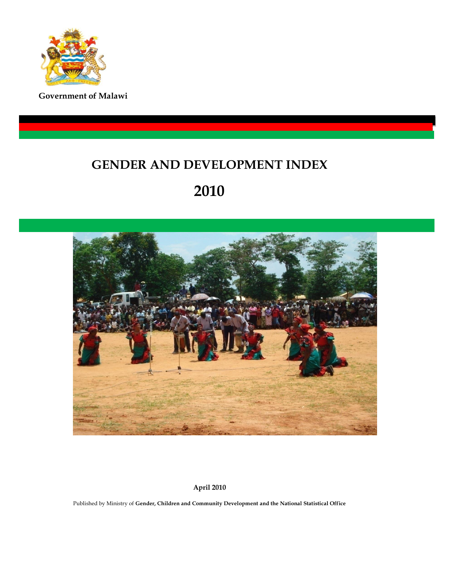

**Government of Malawi**

### **GENDER AND DEVELOPMENT INDEX**

### **2010**



**April 2010**

Published by Ministry of **Gender, Children and Community Development and the National Statistical Office**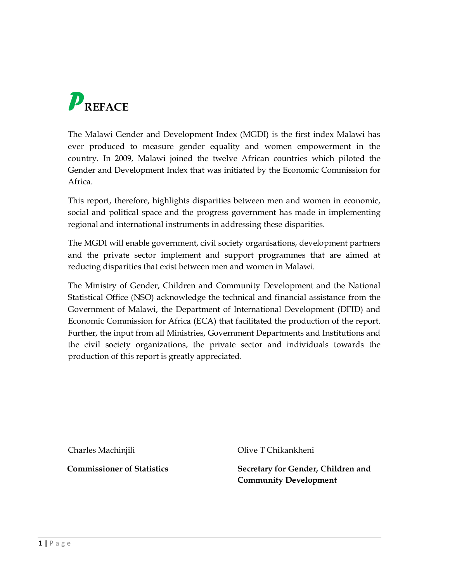

The Malawi Gender and Development Index (MGDI) is the first index Malawi has ever produced to measure gender equality and women empowerment in the country. In 2009, Malawi joined the twelve African countries which piloted the Gender and Development Index that was initiated by the Economic Commission for Africa.

This report, therefore, highlights disparities between men and women in economic, social and political space and the progress government has made in implementing regional and international instruments in addressing these disparities.

The MGDI will enable government, civil society organisations, development partners and the private sector implement and support programmes that are aimed at reducing disparities that exist between men and women in Malawi.

The Ministry of Gender, Children and Community Development and the National Statistical Office (NSO) acknowledge the technical and financial assistance from the Government of Malawi, the Department of International Development (DFID) and Economic Commission for Africa (ECA) that facilitated the production of the report. Further, the input from all Ministries, Government Departments and Institutions and the civil society organizations, the private sector and individuals towards the production of this report is greatly appreciated.

Charles Machinjili Olive T Chikankheni

**Commissioner of Statistics Secretary for Gender, Children and Community Development**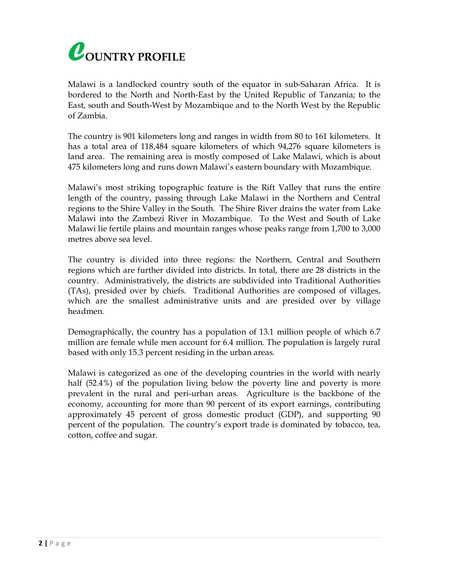

Malawi is a landlocked country south of the equator in sub-Saharan Africa. It is bordered to the North and North-East by the United Republic of Tanzania; to the East, south and South-West by Mozambique and to the North West by the Republic of Zambia.

The country is 901 kilometers long and ranges in width from 80 to 161 kilometers. It has a total area of 118,484 square kilometers of which 94,276 square kilometers is land area. The remaining area is mostly composed of Lake Malawi, which is about 475 kilometers long and runs down Malawi's eastern boundary with Mozambique.

Malawi's most striking topographic feature is the Rift Valley that runs the entire length of the country, passing through Lake Malawi in the Northern and Central regions to the Shire Valley in the South. The Shire River drains the water from Lake Malawi into the Zambezi River in Mozambique. To the West and South of Lake Malawi lie fertile plains and mountain ranges whose peaks range from 1,700 to 3,000 metres above sea level.

The country is divided into three regions: the Northern, Central and Southern regions which are further divided into districts. In total, there are 28 districts in the country. Administratively, the districts are subdivided into Traditional Authorities (TAs), presided over by chiefs. Traditional Authorities are composed of villages, which are the smallest administrative units and are presided over by village headmen.

Demographically, the country has a population of 13.1 million people of which 6.7 million are female while men account for 6.4 million. The population is largely rural based with only 15.3 percent residing in the urban areas.

Malawi is categorized as one of the developing countries in the world with nearly half (52.4%) of the population living below the poverty line and poverty is more prevalent in the rural and peri-urban areas. Agriculture is the backbone of the economy, accounting for more than 90 percent of its export earnings, contributing approximately 45 percent of gross domestic product (GDP), and supporting 90 percent of the population. The country's export trade is dominated by tobacco, tea, cotton, coffee and sugar.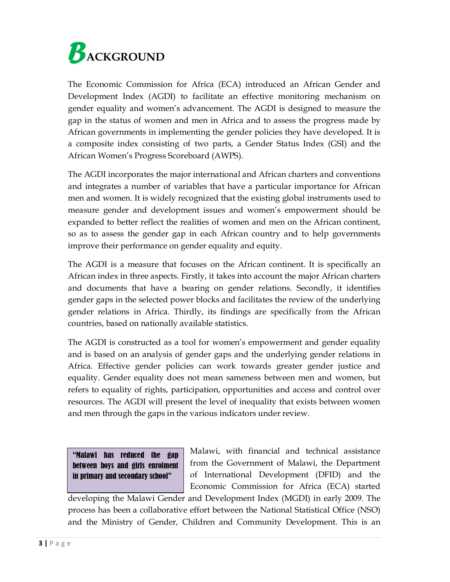

The Economic Commission for Africa (ECA) introduced an African Gender and Development Index (AGDI) to facilitate an effective monitoring mechanism on gender equality and women's advancement. The AGDI is designed to measure the gap in the status of women and men in Africa and to assess the progress made by African governments in implementing the gender policies they have developed. It is a composite index consisting of two parts, a Gender Status Index (GSI) and the African Women's Progress Scoreboard (AWPS).

The AGDI incorporates the major international and African charters and conventions and integrates a number of variables that have a particular importance for African men and women. It is widely recognized that the existing global instruments used to measure gender and development issues and women's empowerment should be expanded to better reflect the realities of women and men on the African continent, so as to assess the gender gap in each African country and to help governments improve their performance on gender equality and equity.

The AGDI is a measure that focuses on the African continent. It is specifically an African index in three aspects. Firstly, it takes into account the major African charters and documents that have a bearing on gender relations. Secondly, it identifies gender gaps in the selected power blocks and facilitates the review of the underlying gender relations in Africa. Thirdly, its findings are specifically from the African countries, based on nationally available statistics.

The AGDI is constructed as a tool for women's empowerment and gender equality and is based on an analysis of gender gaps and the underlying gender relations in Africa. Effective gender policies can work towards greater gender justice and equality. Gender equality does not mean sameness between men and women, but refers to equality of rights, participation, opportunities and access and control over resources. The AGDI will present the level of inequality that exists between women and men through the gaps in the various indicators under review.

| "Malawi has reduced the gap      |  |  |  |
|----------------------------------|--|--|--|
| between boys and girls enrolment |  |  |  |
| in primary and secondary school" |  |  |  |

Malawi, with financial and technical assistance from the Government of Malawi, the Department of International Development (DFID) and the Economic Commission for Africa (ECA) started

developing the Malawi Gender and Development Index (MGDI) in early 2009. The process has been a collaborative effort between the National Statistical Office (NSO) and the Ministry of Gender, Children and Community Development. This is an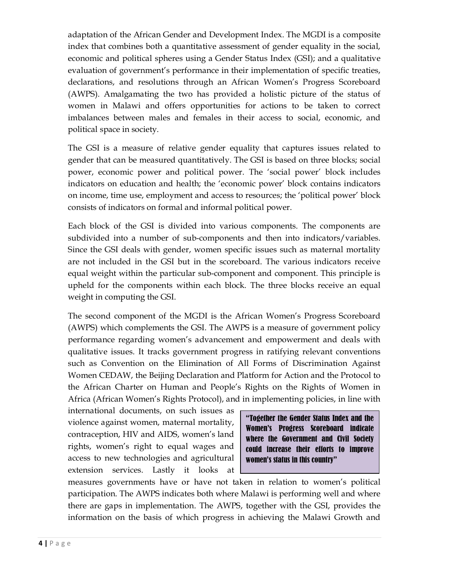adaptation of the African Gender and Development Index. The MGDI is a composite index that combines both a quantitative assessment of gender equality in the social, economic and political spheres using a Gender Status Index (GSI); and a qualitative evaluation of government's performance in their implementation of specific treaties, declarations, and resolutions through an African Women's Progress Scoreboard (AWPS). Amalgamating the two has provided a holistic picture of the status of women in Malawi and offers opportunities for actions to be taken to correct imbalances between males and females in their access to social, economic, and political space in society.

The GSI is a measure of relative gender equality that captures issues related to gender that can be measured quantitatively. The GSI is based on three blocks; social power, economic power and political power. The 'social power' block includes indicators on education and health; the 'economic power' block contains indicators on income, time use, employment and access to resources; the 'political power' block consists of indicators on formal and informal political power.

Each block of the GSI is divided into various components. The components are subdivided into a number of sub-components and then into indicators/variables. Since the GSI deals with gender, women specific issues such as maternal mortality are not included in the GSI but in the scoreboard. The various indicators receive equal weight within the particular sub-component and component. This principle is upheld for the components within each block. The three blocks receive an equal weight in computing the GSI.

The second component of the MGDI is the African Women's Progress Scoreboard (AWPS) which complements the GSI. The AWPS is a measure of government policy performance regarding women's advancement and empowerment and deals with qualitative issues. It tracks government progress in ratifying relevant conventions such as Convention on the Elimination of All Forms of Discrimination Against Women CEDAW, the Beijing Declaration and Platform for Action and the Protocol to the African Charter on Human and People's Rights on the Rights of Women in Africa (African Women's Rights Protocol), and in implementing policies, in line with

international documents, on such issues as violence against women, maternal mortality, contraception, HIV and AIDS, women's land rights, women's right to equal wages and access to new technologies and agricultural extension services. Lastly it looks at

"Together the Gender Status Index and the Women's Progress Scoreboard indicate where the Government and Civil Society could increase their efforts to improve women's status in this country"

measures governments have or have not taken in relation to women's political participation. The AWPS indicates both where Malawi is performing well and where there are gaps in implementation. The AWPS, together with the GSI, provides the information on the basis of which progress in achieving the Malawi Growth and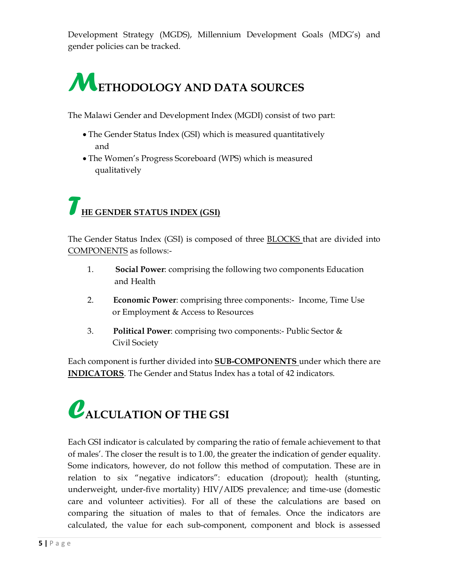Development Strategy (MGDS), Millennium Development Goals (MDG's) and gender policies can be tracked.

# *M***ETHODOLOGY AND DATA SOURCES**

The Malawi Gender and Development Index (MGDI) consist of two part:

- · The Gender Status Index (GSI) which is measured quantitatively and
- · The Women's Progress Scoreboard (WPS) which is measured qualitatively

### *T***HE GENDER STATUS INDEX (GSI)**

The Gender Status Index (GSI) is composed of three BLOCKS that are divided into COMPONENTS as follows:-

- 1. **Social Power**: comprising the following two components Education and Health
- 2. **Economic Power**: comprising three components:- Income, Time Use or Employment & Access to Resources
- 3. **Political Power**: comprising two components:- Public Sector & Civil Society

Each component is further divided into **SUB-COMPONENTS** under which there are **INDICATORS**. The Gender and Status Index has a total of 42 indicators.

## *C***ALCULATION OF THE GSI**

Each GSI indicator is calculated by comparing the ratio of female achievement to that of males'. The closer the result is to 1.00, the greater the indication of gender equality. Some indicators, however, do not follow this method of computation. These are in relation to six "negative indicators": education (dropout); health (stunting, underweight, under-five mortality) HIV/AIDS prevalence; and time-use (domestic care and volunteer activities). For all of these the calculations are based on comparing the situation of males to that of females. Once the indicators are calculated, the value for each sub-component, component and block is assessed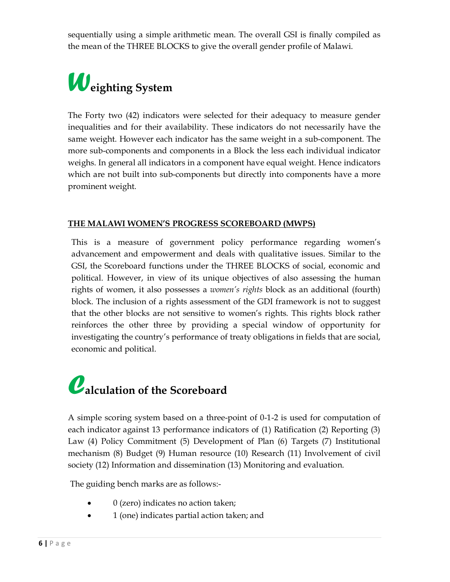sequentially using a simple arithmetic mean. The overall GSI is finally compiled as the mean of the THREE BLOCKS to give the overall gender profile of Malawi.

# *W***eighting System**

The Forty two (42) indicators were selected for their adequacy to measure gender inequalities and for their availability. These indicators do not necessarily have the same weight. However each indicator has the same weight in a sub-component. The more sub-components and components in a Block the less each individual indicator weighs. In general all indicators in a component have equal weight. Hence indicators which are not built into sub-components but directly into components have a more prominent weight.

#### **THE MALAWI WOMEN'S PROGRESS SCOREBOARD (MWPS)**

This is a measure of government policy performance regarding women's advancement and empowerment and deals with qualitative issues. Similar to the GSI, the Scoreboard functions under the THREE BLOCKS of social, economic and political. However, in view of its unique objectives of also assessing the human rights of women, it also possesses a *women's rights* block as an additional (fourth) block. The inclusion of a rights assessment of the GDI framework is not to suggest that the other blocks are not sensitive to women's rights. This rights block rather reinforces the other three by providing a special window of opportunity for investigating the country's performance of treaty obligations in fields that are social, economic and political.

## *C***alculation of the Scoreboard**

A simple scoring system based on a three-point of 0-1-2 is used for computation of each indicator against 13 performance indicators of (1) Ratification (2) Reporting (3) Law (4) Policy Commitment (5) Development of Plan (6) Targets (7) Institutional mechanism (8) Budget (9) Human resource (10) Research (11) Involvement of civil society (12) Information and dissemination (13) Monitoring and evaluation.

The guiding bench marks are as follows:-

- 0 (zero) indicates no action taken;
- · 1 (one) indicates partial action taken; and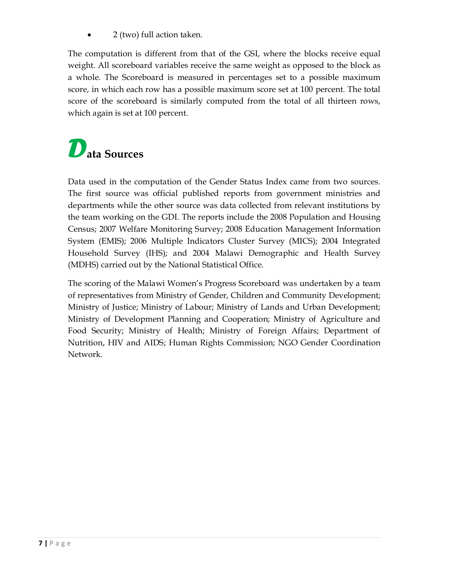· 2 (two) full action taken.

The computation is different from that of the GSI, where the blocks receive equal weight. All scoreboard variables receive the same weight as opposed to the block as a whole. The Scoreboard is measured in percentages set to a possible maximum score, in which each row has a possible maximum score set at 100 percent. The total score of the scoreboard is similarly computed from the total of all thirteen rows, which again is set at 100 percent.

## *D***ata Sources**

Data used in the computation of the Gender Status Index came from two sources. The first source was official published reports from government ministries and departments while the other source was data collected from relevant institutions by the team working on the GDI. The reports include the 2008 Population and Housing Census; 2007 Welfare Monitoring Survey; 2008 Education Management Information System (EMIS); 2006 Multiple Indicators Cluster Survey (MICS); 2004 Integrated Household Survey (IHS); and 2004 Malawi Demographic and Health Survey (MDHS) carried out by the National Statistical Office.

The scoring of the Malawi Women's Progress Scoreboard was undertaken by a team of representatives from Ministry of Gender, Children and Community Development; Ministry of Justice; Ministry of Labour; Ministry of Lands and Urban Development; Ministry of Development Planning and Cooperation; Ministry of Agriculture and Food Security; Ministry of Health; Ministry of Foreign Affairs; Department of Nutrition, HIV and AIDS; Human Rights Commission; NGO Gender Coordination Network.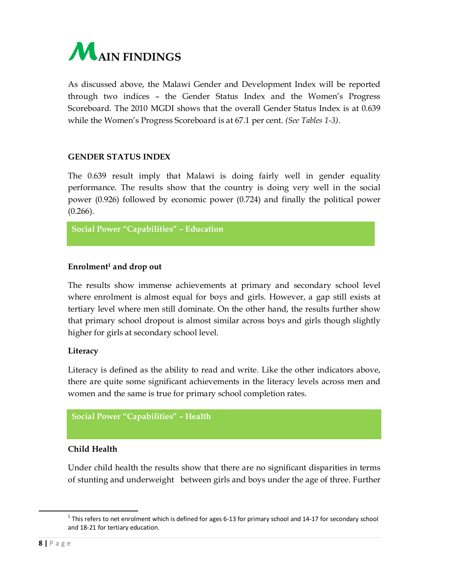

As discussed above, the Malawi Gender and Development Index will be reported through two indices – the Gender Status Index and the Women's Progress Scoreboard. The 2010 MGDI shows that the overall Gender Status Index is at 0.639 while the Women's Progress Scoreboard is at 67.1 per cent. *(See Tables 1-3).*

#### **GENDER STATUS INDEX**

The 0.639 result imply that Malawi is doing fairly well in gender equality performance. The results show that the country is doing very well in the social power (0.926) followed by economic power (0.724) and finally the political power  $(0.266)$ .

**Social Power "Capabilities" – Education**

#### **Enrolment1 and drop out**

The results show immense achievements at primary and secondary school level where enrolment is almost equal for boys and girls. However, a gap still exists at tertiary level where men still dominate. On the other hand, the results further show that primary school dropout is almost similar across boys and girls though slightly higher for girls at secondary school level.

#### **Literacy**

Literacy is defined as the ability to read and write. Like the other indicators above, there are quite some significant achievements in the literacy levels across men and women and the same is true for primary school completion rates.

```
Social Power "Capabilities" – Health
```
#### **Child Health**

Under child health the results show that there are no significant disparities in terms of stunting and underweight between girls and boys under the age of three. Further

 $1$  This refers to net enrolment which is defined for ages 6-13 for primary school and 14-17 for secondary school and 18-21 for tertiary education.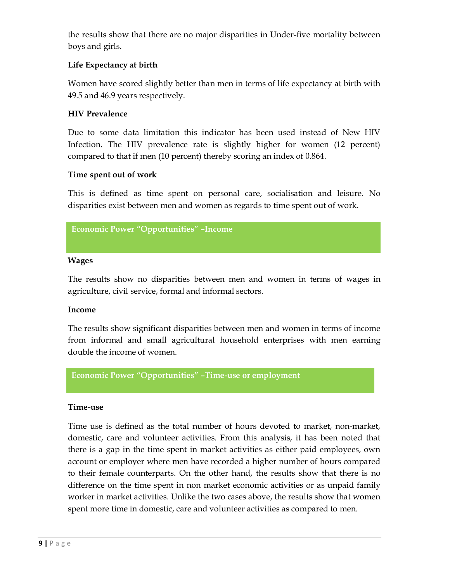the results show that there are no major disparities in Under-five mortality between boys and girls.

#### **Life Expectancy at birth**

Women have scored slightly better than men in terms of life expectancy at birth with 49.5 and 46.9 years respectively.

#### **HIV Prevalence**

Due to some data limitation this indicator has been used instead of New HIV Infection. The HIV prevalence rate is slightly higher for women (12 percent) compared to that if men (10 percent) thereby scoring an index of 0.864.

#### **Time spent out of work**

This is defined as time spent on personal care, socialisation and leisure. No disparities exist between men and women as regards to time spent out of work.

```
Economic Power "Opportunities" –Income
```
#### **Wages**

The results show no disparities between men and women in terms of wages in agriculture, civil service, formal and informal sectors.

#### **Income**

The results show significant disparities between men and women in terms of income from informal and small agricultural household enterprises with men earning double the income of women.

**Economic Power "Opportunities" –Time-use or employment**

#### **Time-use**

Time use is defined as the total number of hours devoted to market, non-market, domestic, care and volunteer activities. From this analysis, it has been noted that there is a gap in the time spent in market activities as either paid employees, own account or employer where men have recorded a higher number of hours compared to their female counterparts. On the other hand, the results show that there is no difference on the time spent in non market economic activities or as unpaid family worker in market activities. Unlike the two cases above, the results show that women spent more time in domestic, care and volunteer activities as compared to men.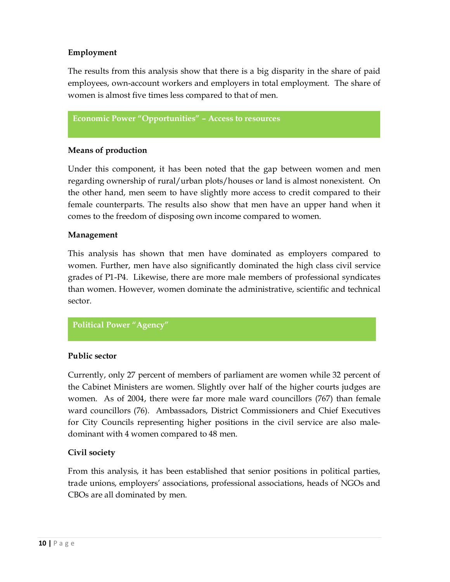#### **Employment**

The results from this analysis show that there is a big disparity in the share of paid employees, own-account workers and employers in total employment. The share of women is almost five times less compared to that of men.

**Economic Power "Opportunities" – Access to resources**

#### **Means of production**

Under this component, it has been noted that the gap between women and men regarding ownership of rural/urban plots/houses or land is almost nonexistent. On the other hand, men seem to have slightly more access to credit compared to their female counterparts. The results also show that men have an upper hand when it comes to the freedom of disposing own income compared to women.

#### **Management**

This analysis has shown that men have dominated as employers compared to women. Further, men have also significantly dominated the high class civil service grades of P1-P4. Likewise, there are more male members of professional syndicates than women. However, women dominate the administrative, scientific and technical sector.

#### **Political Power "Agency"**

#### **Public sector**

Currently, only 27 percent of members of parliament are women while 32 percent of the Cabinet Ministers are women. Slightly over half of the higher courts judges are women. As of 2004, there were far more male ward councillors (767) than female ward councillors (76). Ambassadors, District Commissioners and Chief Executives for City Councils representing higher positions in the civil service are also maledominant with 4 women compared to 48 men.

#### **Civil society**

From this analysis, it has been established that senior positions in political parties, trade unions, employers' associations, professional associations, heads of NGOs and CBOs are all dominated by men.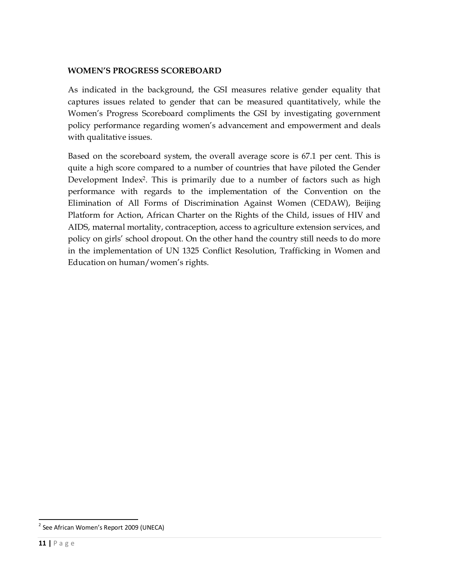#### **WOMEN'S PROGRESS SCOREBOARD**

As indicated in the background, the GSI measures relative gender equality that captures issues related to gender that can be measured quantitatively, while the Women's Progress Scoreboard compliments the GSI by investigating government policy performance regarding women's advancement and empowerment and deals with qualitative issues.

Based on the scoreboard system, the overall average score is 67.1 per cent. This is quite a high score compared to a number of countries that have piloted the Gender Development Index2. This is primarily due to a number of factors such as high performance with regards to the implementation of the Convention on the Elimination of All Forms of Discrimination Against Women (CEDAW), Beijing Platform for Action, African Charter on the Rights of the Child, issues of HIV and AIDS, maternal mortality, contraception, access to agriculture extension services, and policy on girls' school dropout. On the other hand the country still needs to do more in the implementation of UN 1325 Conflict Resolution, Trafficking in Women and Education on human/women's rights.

 $2$  See African Women's Report 2009 (UNECA)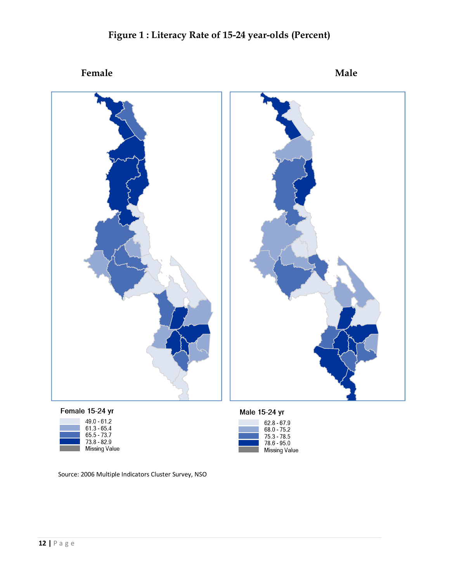

62.8 - 67.9<br>68.0 - 75.2<br>75.3 - 78.5<br>78.6 - 95.0<br>Missing Value

### **Figure 1 : Literacy Rate of 15-24 year-olds (Percent)**

Female 15-24 vr

| 49.0 - 61.2          |
|----------------------|
| 61.3 - 65.4          |
| 65.5 - 73.7          |
| 73.8 - 82.9          |
| $M = -1$ and $M = 1$ |

Source: 2006 Multiple Indicators Cluster Survey, NSO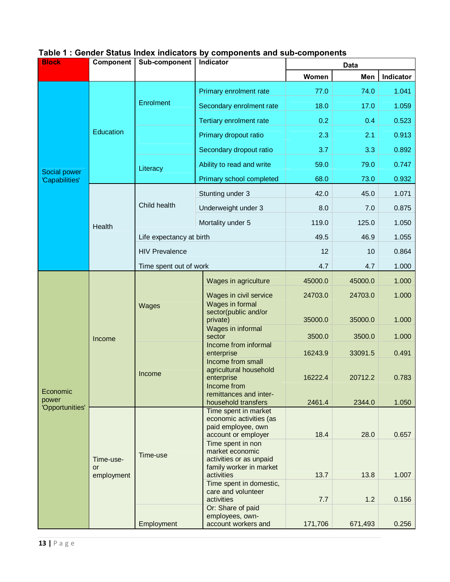| <b>Block</b>                             | <b>Component</b>                                                                                                                                                                                                                                                                                                                                                                                                                                                                                                                                                                                                                                                                            | Sub-component         | Indicator                                 |                                                                                                                                                                        | <b>Data</b> |                |  |  |  |  |
|------------------------------------------|---------------------------------------------------------------------------------------------------------------------------------------------------------------------------------------------------------------------------------------------------------------------------------------------------------------------------------------------------------------------------------------------------------------------------------------------------------------------------------------------------------------------------------------------------------------------------------------------------------------------------------------------------------------------------------------------|-----------------------|-------------------------------------------|------------------------------------------------------------------------------------------------------------------------------------------------------------------------|-------------|----------------|--|--|--|--|
|                                          |                                                                                                                                                                                                                                                                                                                                                                                                                                                                                                                                                                                                                                                                                             |                       |                                           | Women                                                                                                                                                                  | Men         | Indicator      |  |  |  |  |
|                                          |                                                                                                                                                                                                                                                                                                                                                                                                                                                                                                                                                                                                                                                                                             |                       | Primary enrolment rate                    | 77.0                                                                                                                                                                   | 74.0        | 1.041          |  |  |  |  |
|                                          |                                                                                                                                                                                                                                                                                                                                                                                                                                                                                                                                                                                                                                                                                             | Enrolment             | Secondary enrolment rate                  | 18.0                                                                                                                                                                   | 17.0        | 1.059          |  |  |  |  |
|                                          |                                                                                                                                                                                                                                                                                                                                                                                                                                                                                                                                                                                                                                                                                             |                       | Tertiary enrolment rate                   | 0.2                                                                                                                                                                    | 0.4         | 0.523          |  |  |  |  |
|                                          | Education                                                                                                                                                                                                                                                                                                                                                                                                                                                                                                                                                                                                                                                                                   |                       | Primary dropout ratio                     | 2.3                                                                                                                                                                    | 2.1         | 0.913          |  |  |  |  |
|                                          |                                                                                                                                                                                                                                                                                                                                                                                                                                                                                                                                                                                                                                                                                             |                       | Secondary dropout ratio                   | 3.7                                                                                                                                                                    | 3.3         | 0.892          |  |  |  |  |
|                                          |                                                                                                                                                                                                                                                                                                                                                                                                                                                                                                                                                                                                                                                                                             | Literacy              | Ability to read and write                 | 59.0                                                                                                                                                                   | 79.0        | 0.747          |  |  |  |  |
| 'Capabilities'                           |                                                                                                                                                                                                                                                                                                                                                                                                                                                                                                                                                                                                                                                                                             |                       | Primary school completed                  | 68.0                                                                                                                                                                   | 73.0        | 0.932          |  |  |  |  |
|                                          |                                                                                                                                                                                                                                                                                                                                                                                                                                                                                                                                                                                                                                                                                             |                       | Stunting under 3                          | 42.0                                                                                                                                                                   | 45.0        | 1.071          |  |  |  |  |
|                                          |                                                                                                                                                                                                                                                                                                                                                                                                                                                                                                                                                                                                                                                                                             | Child health          | Underweight under 3                       | 8.0                                                                                                                                                                    | 7.0         | 0.875<br>1.050 |  |  |  |  |
|                                          |                                                                                                                                                                                                                                                                                                                                                                                                                                                                                                                                                                                                                                                                                             |                       | Mortality under 5                         | 119.0                                                                                                                                                                  | 125.0       |                |  |  |  |  |
|                                          |                                                                                                                                                                                                                                                                                                                                                                                                                                                                                                                                                                                                                                                                                             |                       |                                           | 49.5                                                                                                                                                                   | 46.9        | 1.055          |  |  |  |  |
|                                          |                                                                                                                                                                                                                                                                                                                                                                                                                                                                                                                                                                                                                                                                                             | <b>HIV Prevalence</b> |                                           | 12                                                                                                                                                                     | 10          | 0.864          |  |  |  |  |
|                                          |                                                                                                                                                                                                                                                                                                                                                                                                                                                                                                                                                                                                                                                                                             |                       |                                           | 4.7                                                                                                                                                                    | 4.7         | 1.000          |  |  |  |  |
|                                          |                                                                                                                                                                                                                                                                                                                                                                                                                                                                                                                                                                                                                                                                                             |                       | Wages in agriculture                      | 45000.0                                                                                                                                                                | 45000.0     | 1.000          |  |  |  |  |
|                                          |                                                                                                                                                                                                                                                                                                                                                                                                                                                                                                                                                                                                                                                                                             | Wages                 | Wages in civil service<br>Wages in formal | 24703.0                                                                                                                                                                | 24703.0     | 1.000          |  |  |  |  |
|                                          |                                                                                                                                                                                                                                                                                                                                                                                                                                                                                                                                                                                                                                                                                             |                       | private)                                  | 35000.0                                                                                                                                                                | 35000.0     | 1.000          |  |  |  |  |
|                                          | Income                                                                                                                                                                                                                                                                                                                                                                                                                                                                                                                                                                                                                                                                                      |                       | sector                                    | 3500.0<br>3500.0<br>16243.9<br>33091.5<br>16222.4<br>20712.2<br>2461.4<br>2344.0<br>18.4<br>28.0<br>13.7<br>13.8<br>1.007<br>7.7<br>1.2<br>0.156<br>171,706<br>671,493 | 1.000       |                |  |  |  |  |
|                                          | Health<br>Life expectancy at birth<br>Time spent out of work<br>sector(public and/or<br>Wages in informal<br>Income from informal<br>enterprise<br>Income from small<br>agricultural household<br>Income<br>enterprise<br>Income from<br>remittances and inter-<br>household transfers<br>Time spent in market<br>economic activities (as<br>paid employee, own<br>account or employer<br>Time spent in non<br>market economic<br>Time-use<br>activities or as unpaid<br>Time-use-<br>family worker in market<br>or<br>activities<br>employment<br>Time spent in domestic,<br>care and volunteer<br>activities<br>Or: Share of paid<br>employees, own-<br>Employment<br>account workers and |                       |                                           |                                                                                                                                                                        |             | 0.491          |  |  |  |  |
| Economic                                 |                                                                                                                                                                                                                                                                                                                                                                                                                                                                                                                                                                                                                                                                                             |                       |                                           | 0.783                                                                                                                                                                  |             |                |  |  |  |  |
| Social power<br>power<br>'Opportunities' |                                                                                                                                                                                                                                                                                                                                                                                                                                                                                                                                                                                                                                                                                             |                       |                                           | 1.050                                                                                                                                                                  |             |                |  |  |  |  |
|                                          |                                                                                                                                                                                                                                                                                                                                                                                                                                                                                                                                                                                                                                                                                             |                       |                                           |                                                                                                                                                                        |             | 0.657          |  |  |  |  |
|                                          |                                                                                                                                                                                                                                                                                                                                                                                                                                                                                                                                                                                                                                                                                             |                       |                                           |                                                                                                                                                                        |             |                |  |  |  |  |
|                                          |                                                                                                                                                                                                                                                                                                                                                                                                                                                                                                                                                                                                                                                                                             |                       |                                           |                                                                                                                                                                        |             |                |  |  |  |  |
|                                          |                                                                                                                                                                                                                                                                                                                                                                                                                                                                                                                                                                                                                                                                                             |                       |                                           |                                                                                                                                                                        |             |                |  |  |  |  |
|                                          |                                                                                                                                                                                                                                                                                                                                                                                                                                                                                                                                                                                                                                                                                             |                       |                                           |                                                                                                                                                                        |             | 0.256          |  |  |  |  |

### **Table 1 : Gender Status Index indicators by components and sub-components**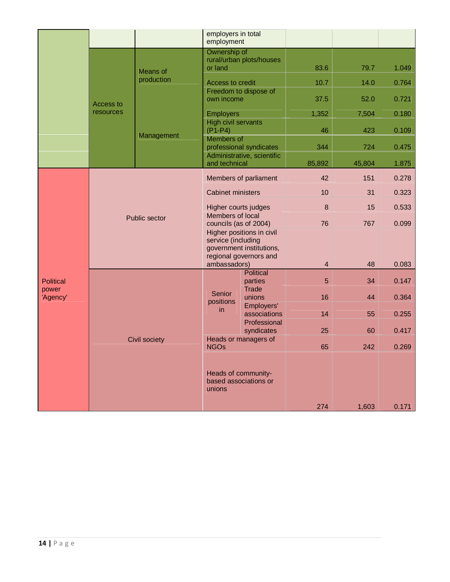|                   |                  |                        | employers in total<br>employment               |                                                    |                         |        |       |
|-------------------|------------------|------------------------|------------------------------------------------|----------------------------------------------------|-------------------------|--------|-------|
|                   |                  |                        | Ownership of<br>or land                        | rural/urban plots/houses                           | 83.6                    | 79.7   | 1.049 |
|                   |                  | Means of<br>production | Access to credit                               |                                                    | 10.7                    | 14.0   | 0.764 |
|                   | <b>Access to</b> |                        | own income                                     | Freedom to dispose of                              | 37.5                    | 52.0   | 0.721 |
|                   | resources        |                        | <b>Employers</b><br><b>High civil servants</b> |                                                    | 1,352                   | 7,504  | 0.180 |
|                   |                  | Management             | $(P1-P4)$<br>Members of                        |                                                    | 46                      | 423    | 0.109 |
|                   |                  |                        |                                                | professional syndicates                            | 344                     | 724    | 0.475 |
|                   |                  |                        | and technical                                  | Administrative, scientific                         | 85,892                  | 45,804 | 1.875 |
|                   |                  |                        |                                                | Members of parliament                              | 42                      | 151    | 0.278 |
|                   |                  |                        | <b>Cabinet ministers</b>                       |                                                    | 10                      | 31     | 0.323 |
|                   |                  | Public sector          | Higher courts judges<br>Members of local       |                                                    | 8                       |        | 0.533 |
|                   |                  |                        | councils (as of 2004)                          | Higher positions in civil                          | 76                      | 767    | 0.099 |
|                   |                  |                        | service (including                             | government institutions,<br>regional governors and |                         |        |       |
|                   |                  |                        | ambassadors)                                   |                                                    | $\overline{\mathbf{4}}$ | 48     | 0.083 |
| <b>Political</b>  |                  |                        |                                                | <b>Political</b><br>parties                        | 5                       | 34     | 0.147 |
| power<br>'Agency' |                  |                        | Senior<br>positions                            | <b>Trade</b><br>unions<br>Employers'               | 16                      | 44     | 0.364 |
|                   |                  |                        | in.                                            | associations<br>Professional                       | 14                      | 55     | 0.255 |
|                   |                  |                        |                                                | syndicates                                         | 25                      | 60     | 0.417 |
|                   |                  | Civil society          | <b>NGOs</b>                                    | Heads or managers of                               | 65                      | 242    | 0.269 |
|                   |                  |                        | unions                                         | Heads of community-<br>based associations or       |                         |        |       |
|                   |                  |                        |                                                |                                                    | 274                     | 1,603  | 0.171 |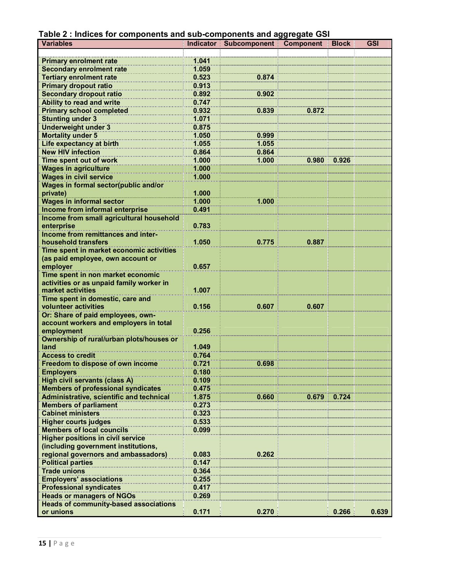|  |  |  | Table 2 : Indices for components and sub-components and aggregate GSI |  |
|--|--|--|-----------------------------------------------------------------------|--|
|  |  |  |                                                                       |  |

| <b>HINIYYY IVI VYIII</b><br><b>Variables</b>     |       | ab-components and aggregate of<br>Indicator Subcomponent | Component | <b>Block</b> | <b>GSI</b> |
|--------------------------------------------------|-------|----------------------------------------------------------|-----------|--------------|------------|
|                                                  |       |                                                          |           |              |            |
| <b>Primary enrolment rate</b>                    | 1.041 |                                                          |           |              |            |
| <b>Secondary enrolment rate</b>                  | 1.059 |                                                          |           |              |            |
| <b>Tertiary enrolment rate</b>                   | 0.523 | 0.874                                                    |           |              |            |
| <b>Primary dropout ratio</b>                     | 0.913 |                                                          |           |              |            |
| <b>Secondary dropout ratio</b>                   | 0.892 | 0.902                                                    |           |              |            |
| <b>Ability to read and write</b>                 | 0.747 |                                                          |           |              |            |
| <b>Primary school completed</b>                  | 0.932 | 0.839                                                    | 0.872     |              |            |
| <b>Stunting under 3</b>                          | 1.071 |                                                          |           |              |            |
| <b>Underweight under 3</b>                       | 0.875 |                                                          |           |              |            |
|                                                  | 1.050 |                                                          |           |              |            |
| <b>Mortality under 5</b>                         |       | 0.999                                                    |           |              |            |
| Life expectancy at birth                         | 1.055 | 1.055                                                    |           |              |            |
| <b>New HIV infection</b>                         | 0.864 | 0.864                                                    |           |              |            |
| Time spent out of work                           | 1.000 | 1.000                                                    | 0.980     | 0.926        |            |
| <b>Wages in agriculture</b>                      | 1.000 |                                                          |           |              |            |
| <b>Wages in civil service</b>                    | 1.000 |                                                          |           |              |            |
| Wages in formal sector(public and/or             |       |                                                          |           |              |            |
| private)                                         | 1.000 |                                                          |           |              |            |
| <b>Wages in informal sector</b>                  | 1.000 | 1.000                                                    |           |              |            |
| Income from informal enterprise                  | 0.491 |                                                          |           |              |            |
| Income from small agricultural household         |       |                                                          |           |              |            |
| enterprise                                       | 0.783 |                                                          |           |              |            |
| Income from remittances and inter-               |       |                                                          |           |              |            |
| household transfers                              | 1.050 | 0.775                                                    | 0.887     |              |            |
| Time spent in market economic activities         |       |                                                          |           |              |            |
| (as paid employee, own account or                |       |                                                          |           |              |            |
| employer                                         | 0.657 |                                                          |           |              |            |
| Time spent in non market economic                |       |                                                          |           |              |            |
| activities or as unpaid family worker in         |       |                                                          |           |              |            |
| market activities                                | 1.007 |                                                          |           |              |            |
| Time spent in domestic, care and                 |       |                                                          |           |              |            |
| volunteer activities                             | 0.156 | 0.607                                                    | 0.607     |              |            |
| Or: Share of paid employees, own-                |       |                                                          |           |              |            |
| account workers and employers in total           | 0.256 |                                                          |           |              |            |
| employment                                       |       |                                                          |           |              |            |
| Ownership of rural/urban plots/houses or<br>land | 1.049 |                                                          |           |              |            |
| <b>Access to credit</b>                          | 0.764 |                                                          |           |              |            |
| Freedom to dispose of own income                 | 0.721 | 0.698                                                    |           |              |            |
|                                                  | 0.180 |                                                          |           |              |            |
| <b>Employers</b>                                 |       |                                                          |           |              |            |
| <b>High civil servants (class A)</b>             | 0.109 |                                                          |           |              |            |
| <b>Members of professional syndicates</b>        | 0.475 |                                                          |           |              |            |
| <b>Administrative, scientific and technical</b>  | 1.875 | 0.660                                                    | 0.679     | 0.724        |            |
| <b>Members of parliament</b>                     | 0.273 |                                                          |           |              |            |
| <b>Cabinet ministers</b>                         | 0.323 |                                                          |           |              |            |
| <b>Higher courts judges</b>                      | 0.533 |                                                          |           |              |            |
| <b>Members of local councils</b>                 | 0.099 |                                                          |           |              |            |
| <b>Higher positions in civil service</b>         |       |                                                          |           |              |            |
| (including government institutions,              |       |                                                          |           |              |            |
| regional governors and ambassadors)              | 0.083 | 0.262                                                    |           |              |            |
| <b>Political parties</b>                         | 0.147 |                                                          |           |              |            |
| <b>Trade unions</b>                              | 0.364 |                                                          |           |              |            |
| <b>Employers' associations</b>                   | 0.255 |                                                          |           |              |            |
| <b>Professional syndicates</b>                   | 0.417 |                                                          |           |              |            |
| <b>Heads or managers of NGOs</b>                 | 0.269 |                                                          |           |              |            |
| <b>Heads of community-based associations</b>     |       |                                                          |           |              |            |
| or unions                                        | 0.171 | 0.270                                                    |           | 0.266        | 0.639      |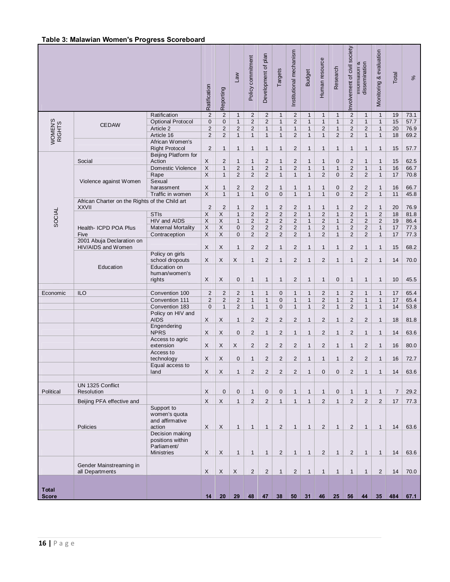|                              |                                                                |                                                                         | Ratification              | Reporting               | $\mathsf{Law}$                 | Policy commitment | Development of plan            | Targets                 | Institutional mechanism      | <b>Budget</b> | Human resource               | Research                     | Involvement of civil society     | dissemination<br><b>INTERNATION CONTINUES</b> | Monitoring & evaluation        | Total          | $\%$ |
|------------------------------|----------------------------------------------------------------|-------------------------------------------------------------------------|---------------------------|-------------------------|--------------------------------|-------------------|--------------------------------|-------------------------|------------------------------|---------------|------------------------------|------------------------------|----------------------------------|-----------------------------------------------|--------------------------------|----------------|------|
|                              |                                                                | Ratification                                                            | $\mathbf 2$               | $\overline{2}$          | $\mathbf{1}$                   | $\overline{2}$    | $\overline{2}$                 | $\mathbf{1}$            | 2                            | $\mathbf{1}$  | $\mathbf{1}$                 | $\mathbf{1}$                 | 2                                | $\mathbf{1}$                                  | $\mathbf{1}$                   | 19             | 73.1 |
| WOMEN'S<br>RIGHTS            | <b>CEDAW</b>                                                   | Optional Protocol                                                       | $\pmb{0}$                 | $\mathbf 0$             | $\mathbf{1}$                   | $\overline{c}$    | $\mathbf 2$                    | $\mathbf{1}$            | $\overline{2}$               | $\mathbf{1}$  | $\mathbf{1}$                 | $\mathbf{1}$                 | $\overline{2}$                   | $\mathbf{1}$                                  | $\mathbf{1}$                   | 15             | 57.7 |
|                              |                                                                | Article 2                                                               | $\overline{c}$            | $\overline{c}$          | $\overline{2}$                 | $\overline{2}$    | $\mathbf{1}$                   | $\mathbf{1}$            | $\mathbf{1}$                 | $\mathbf{1}$  | $\overline{2}$               | $\mathbf{1}$                 | $\overline{2}$                   | $\overline{2}$                                | $\mathbf{1}$                   | 20             | 76.9 |
|                              |                                                                | Article 16                                                              | $\overline{2}$            | $\overline{2}$          | $\mathbf{1}$                   | $\mathbf{1}$      | $\mathbf{1}$                   | $\mathbf{1}$            | 2                            | $\mathbf{1}$  | $\mathbf{1}$                 | 2                            | $\overline{2}$                   | $\mathbf{1}$                                  | $\mathbf{1}$                   | 18             | 69.2 |
|                              |                                                                | African Women's                                                         |                           |                         |                                |                   |                                |                         |                              |               |                              |                              |                                  |                                               |                                |                |      |
|                              |                                                                | <b>Right Protocol</b>                                                   | $\overline{2}$            | $\mathbf{1}$            | 1                              | $\mathbf{1}$      | $\mathbf{1}$                   | $\mathbf{1}$            | 2                            | $\mathbf{1}$  | $\mathbf{1}$                 | $\mathbf{1}$                 | $\mathbf{1}$                     | $\mathbf{1}$                                  | $\mathbf{1}$                   | 15             | 57.7 |
|                              |                                                                | Beijing Platform for                                                    |                           |                         |                                |                   |                                |                         |                              |               |                              |                              |                                  |                                               |                                |                |      |
|                              | Social                                                         | Action                                                                  | X                         | $\overline{2}$          | 1                              | $\mathbf{1}$      | $\overline{c}$                 | $\mathbf{1}$            | 2                            | $\mathbf{1}$  | $\mathbf{1}$                 | 0                            | 2                                | $\mathbf{1}$                                  | $\mathbf{1}$                   | 15             | 62.5 |
|                              |                                                                | Domestic Violence                                                       | $\mathsf X$               | $\mathbf{1}$            | $\overline{2}$                 | $\mathbf{1}$      | $\mathbf 2$                    | $\mathbf{1}$            | 2                            | $\mathbf{1}$  | $\mathbf{1}$                 | $\mathbf{1}$                 | $\overline{2}$                   | $\mathbf{1}$                                  | $\mathbf{1}$                   | 16             | 66.7 |
|                              |                                                                | Rape                                                                    | $\mathsf{X}$              | $\mathbf{1}$            | $\overline{2}$                 | $\overline{2}$    | $\overline{2}$                 | $\mathbf{1}$            | $\mathbf{1}$                 | $\mathbf{1}$  | 2                            | $\mathbf 0$                  | $\overline{2}$                   | $\overline{2}$                                | $\mathbf{1}$                   | 17             | 70.8 |
|                              | Violence against Women                                         | Sexual                                                                  |                           |                         |                                |                   |                                |                         |                              |               |                              |                              |                                  |                                               |                                |                |      |
|                              |                                                                | harassment                                                              | X                         | $\mathbf{1}$            | $\overline{2}$<br>$\mathbf{1}$ | $\overline{c}$    | $\overline{c}$                 | $\mathbf{1}$            | $\mathbf{1}$<br>$\mathbf{1}$ | $\mathbf{1}$  | $\mathbf{1}$<br>$\mathbf{1}$ | 0                            | $\overline{c}$<br>$\overline{2}$ | $\overline{c}$<br>$\overline{2}$              | $\mathbf{1}$                   | 16             | 66.7 |
|                              |                                                                | Traffic in women                                                        | $\overline{\mathsf{X}}$   | $\mathbf{1}$            |                                | $\mathbf{1}$      | $\mathbf 0$                    | $\mathbf 0$             |                              | $\mathbf{1}$  |                              | 0                            |                                  |                                               | $\mathbf{1}$                   | 11             | 45.8 |
|                              | African Charter on the Rights of the Child art<br><b>XXVII</b> |                                                                         | $\overline{2}$            | $\overline{2}$          | $\mathbf{1}$                   | $\overline{c}$    |                                | $\overline{2}$          | $\overline{2}$               | $\mathbf{1}$  |                              |                              | $\overline{2}$                   | $\overline{c}$                                |                                | 20             | 76.9 |
|                              |                                                                | <b>STIs</b>                                                             | $\boldsymbol{\mathsf{X}}$ | $\mathsf X$             | $\mathbf{1}$                   | $\overline{2}$    | $\mathbf{1}$<br>$\overline{2}$ | $\overline{2}$          | $\sqrt{2}$                   | $\mathbf{1}$  | $\mathbf{1}$<br>$\sqrt{2}$   | $\mathbf{1}$<br>$\mathbf{1}$ | $\overline{2}$                   | $\mathbf{1}$                                  | $\mathbf{1}$<br>$\overline{2}$ | 18             | 81.8 |
| SOCIAL                       |                                                                | HIV and AIDS                                                            | $\overline{\mathsf{x}}$   | $\overline{\mathsf{X}}$ | $\mathbf{1}$                   | $\overline{c}$    | $\overline{2}$                 | $\overline{2}$          | $\overline{2}$               | $\mathbf{1}$  | $\overline{2}$               | $\mathbf{1}$                 | $\overline{2}$                   | $\overline{c}$                                | $\overline{2}$                 | 19             | 86.4 |
|                              | Health- ICPD POA Plus                                          | <b>Maternal Mortality</b>                                               | X                         | $\mathsf X$             | 0                              | $\overline{2}$    | $\overline{2}$                 | $\overline{2}$          | $\overline{2}$               | $\mathbf{1}$  | $\overline{2}$               | $\mathbf{1}$                 | $\overline{2}$                   | $\overline{2}$                                | $\mathbf{1}$                   | $17$           | 77.3 |
|                              | Five                                                           | Contraception                                                           | $\mathsf X$               | $\mathsf{X}$            | 0                              | $\overline{2}$    | $\overline{2}$                 | 2                       | $\overline{2}$               | $\mathbf{1}$  | $\overline{2}$               | $\mathbf{1}$                 | $\overline{2}$                   | $\overline{2}$                                | $\mathbf{1}$                   | 17             | 77.3 |
|                              | 2001 Abuja Declaration on                                      |                                                                         |                           |                         |                                |                   |                                |                         |                              |               |                              |                              |                                  |                                               |                                |                |      |
|                              | HIV/AIDS and Women                                             |                                                                         | X                         | X                       | $\mathbf{1}$                   | $\overline{2}$    | $\overline{2}$                 | $\mathbf{1}$            | $\overline{2}$               | $\mathbf{1}$  | $\mathbf{1}$                 | $\mathbf{1}$                 | $\overline{2}$                   | $\mathbf{1}$                                  | $\mathbf{1}$                   | 15             | 68.2 |
|                              |                                                                | Policy on girls                                                         |                           |                         |                                |                   |                                |                         |                              |               |                              |                              |                                  |                                               |                                |                |      |
|                              |                                                                | school dropouts                                                         | X                         | X                       | X                              | $\mathbf{1}$      | $\overline{2}$                 | $\mathbf{1}$            | $\mathbf 2$                  | $\mathbf{1}$  | 2                            | $\mathbf{1}$                 | $\mathbf{1}$                     | $\overline{2}$                                | $\mathbf{1}$                   | 14             | 70.0 |
|                              | Education                                                      | Education on<br>human/women's<br>rights                                 | X                         | X                       | 0                              | $\mathbf{1}$      | $\mathbf{1}$                   | $\mathbf{1}$            | 2                            | $\mathbf{1}$  | $\mathbf{1}$                 | $\mathbf 0$                  | $\mathbf{1}$                     | $\mathbf{1}$                                  | $\mathbf{1}$                   | 10             | 45.5 |
|                              |                                                                |                                                                         |                           |                         |                                |                   |                                |                         |                              |               |                              |                              |                                  |                                               |                                |                |      |
| Economic                     | ILO                                                            | Convention 100                                                          | $\overline{2}$            | $\overline{2}$          | $\overline{2}$                 | $\mathbf{1}$      | $\mathbf{1}$                   | $\mathbf 0$             | $\mathbf{1}$                 | $\mathbf{1}$  | $\overline{2}$               | $\mathbf{1}$                 | $\overline{2}$                   | $\mathbf{1}$                                  | $\mathbf{1}$                   | 17             | 65.4 |
|                              |                                                                | Convention 111                                                          | $\overline{2}$            | $\overline{2}$          | $\overline{c}$                 | $\mathbf{1}$      | $\mathbf{1}$                   | $\mathbf 0$             | $\mathbf{1}$                 | $\mathbf{1}$  | $\overline{c}$               | $\mathbf{1}$                 | $\overline{2}$                   | $\mathbf{1}$                                  | $\mathbf{1}$                   | 17             | 65.4 |
|                              |                                                                | Convention 183                                                          | 0                         | $\mathbf{1}$            | $\overline{2}$                 | $\mathbf{1}$      | $\mathbf{1}$                   | $\mathbf 0$             | $\mathbf{1}$                 | $\mathbf{1}$  | 2                            | $\mathbf{1}$                 | 2                                | $\mathbf{1}$                                  | $\mathbf{1}$                   | 14             | 53.8 |
|                              |                                                                | Policy on HIV and<br><b>AIDS</b>                                        | X                         | X                       | $\mathbf{1}$                   | $\overline{2}$    | $\overline{2}$                 | $\overline{2}$          | $\overline{2}$               | $\mathbf{1}$  | $\overline{2}$               | $\mathbf{1}$                 | 2                                | $\overline{2}$                                | $\mathbf{1}$                   | 18             | 81.8 |
|                              |                                                                | Engendering                                                             |                           |                         |                                |                   |                                |                         |                              |               |                              |                              |                                  |                                               |                                |                |      |
|                              |                                                                | <b>NPRS</b>                                                             | X                         | X                       | 0                              | $\overline{2}$    | $\mathbf{1}$                   | $\overline{c}$          | $\mathbf{1}$                 | $\mathbf{1}$  | $\overline{2}$               | $\mathbf{1}$                 | 2                                | $\mathbf{1}$                                  | $\mathbf{1}$                   | 14             | 63.6 |
|                              |                                                                | Access to agric<br>extension                                            | X                         | X                       | X                              | $\overline{2}$    | $\overline{2}$                 | $\overline{2}$          | 2                            | $\mathbf{1}$  | 2                            | $\mathbf{1}$                 | $\mathbf{1}$                     | $\overline{2}$                                | $\mathbf{1}$                   | 16             | 80.0 |
|                              |                                                                | Access to<br>technology                                                 | X                         | X                       | 0                              | $\mathbf{1}$      | $\overline{2}$                 | $\overline{2}$          | $\overline{2}$               | $\mathbf{1}$  | $\mathbf{1}$                 | $\mathbf{1}$                 | 2                                | 2                                             | $\mathbf{1}$                   | 16             | 72.7 |
|                              |                                                                | Equal access to                                                         |                           |                         |                                |                   |                                |                         |                              |               |                              |                              |                                  |                                               |                                |                |      |
|                              |                                                                | land                                                                    | $\mathsf{X}$              | X                       | $\mathbf{1}$                   | $\overline{c}$    | $\overline{c}$                 | $\overline{\mathbf{c}}$ | $\overline{c}$               | 1             | $\pmb{0}$                    | 0                            | $\overline{c}$                   | $\mathbf{1}$                                  | $\overline{1}$                 | 14             | 63.6 |
|                              |                                                                |                                                                         |                           |                         |                                |                   |                                |                         |                              |               |                              |                              |                                  |                                               |                                |                |      |
| Political                    | UN 1325 Conflict                                               |                                                                         | $\mathsf{X}$              | $\mathbf 0$             | $\mathbf{0}$                   | $\mathbf{1}$      | $\mathbf 0$                    | $\mathbf 0$             | $\mathbf{1}$                 | $\mathbf{1}$  | $\mathbf{1}$                 | $\mathbf 0$                  | $\mathbf{1}$                     | $\mathbf{1}$                                  | $\mathbf{1}$                   | $\overline{7}$ |      |
|                              | Resolution                                                     |                                                                         |                           |                         |                                |                   |                                |                         |                              |               |                              |                              |                                  |                                               |                                |                | 29.2 |
|                              | Beijing PFA effective and                                      |                                                                         | $\mathsf{X}$              | X                       | $\mathbf{1}$                   | $\overline{2}$    | $\overline{2}$                 | $\mathbf{1}$            | $\mathbf{1}$                 | $\mathbf{1}$  | $\overline{2}$               | $\mathbf{1}$                 | $\overline{2}$                   | $\overline{2}$                                | 2                              | 17             | 77.3 |
|                              |                                                                | Support to<br>women's quota<br>and affirmative                          |                           |                         |                                |                   |                                |                         |                              |               |                              |                              |                                  |                                               |                                |                |      |
|                              | Policies                                                       | action                                                                  | $\mathsf{X}$              | $\mathsf{X}$            | $\mathbf{1}$                   | $\mathbf{1}$      | $\mathbf{1}$                   | $\overline{2}$          | $\mathbf{1}$                 | $\mathbf{1}$  | 2                            | $\mathbf{1}$                 | 2                                | $\mathbf{1}$                                  | $\mathbf{1}$                   | 14             | 63.6 |
|                              |                                                                | Decision making<br>positions within<br>Parliament/<br><b>Ministries</b> | X                         | X                       | $\mathbf{1}$                   | $\mathbf{1}$      | $\mathbf{1}$                   | $\overline{2}$          | $\mathbf{1}$                 | $\mathbf{1}$  | 2                            | $\mathbf{1}$                 | 2                                | $\mathbf{1}$                                  | $\mathbf{1}$                   | 14             | 63.6 |
|                              |                                                                |                                                                         |                           |                         |                                |                   |                                |                         |                              |               |                              |                              |                                  |                                               |                                |                |      |
|                              | Gender Mainstreaming in<br>all Departments                     |                                                                         | X                         | X                       | $\boldsymbol{\mathsf{X}}$      | $\overline{2}$    | $\overline{2}$                 | $\mathbf{1}$            | 2                            | $\mathbf{1}$  | $\mathbf{1}$                 | $\mathbf{1}$                 | $\mathbf{1}$                     | $\mathbf{1}$                                  | 2                              | 14             | 70.0 |
|                              |                                                                |                                                                         |                           |                         |                                |                   |                                |                         |                              |               |                              |                              |                                  |                                               |                                |                |      |
| <b>Total</b><br><b>Score</b> |                                                                |                                                                         | 14                        | 20 <sub>2</sub>         | 29                             | 48                | 47                             | 38                      | 50                           | 31            | 46                           | 25                           | 56                               | 44                                            | 35 <sub>5</sub>                | 484            | 67.1 |